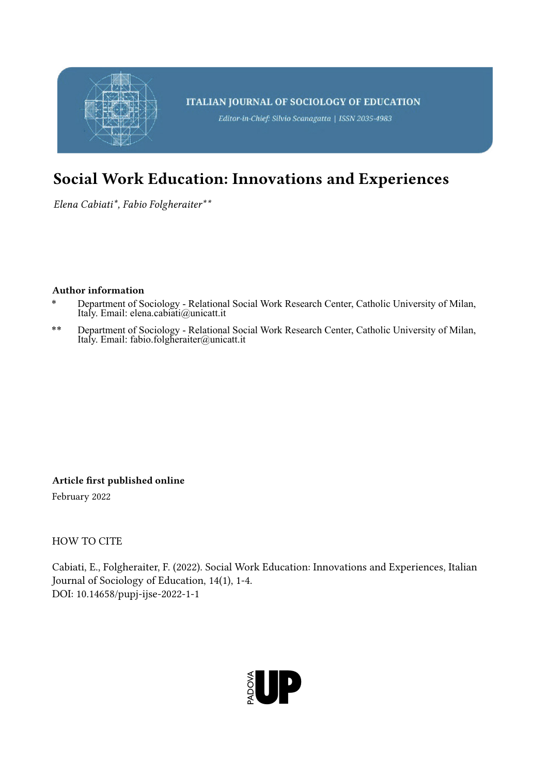

## Social Work Education: Innovations and Experiences

*Elena Cabiati\*, Fabio Folgheraiter\*\**

## Author information

- \* Department of Sociology Relational Social Work Research Center, Catholic University of Milan, Italy. Email: elena.cabiati@unicatt.it
- \*\* Department of Sociology Relational Social Work Research Center, Catholic University of Milan, Italy. Email: fabio.folgheraiter@unicatt.it

Article first published online

February 2022

HOW TO CITE

Cabiati, E., Folgheraiter, F. (2022). Social Work Education: Innovations and Experiences, Italian Journal of Sociology of Education, 14(1), 1-4. DOI: 10.14658/pupj-ijse-2022-1-1

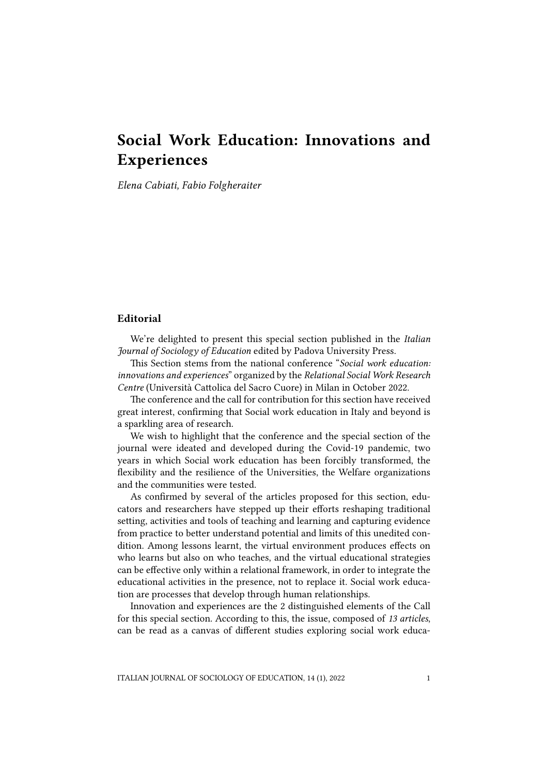## Social Work Education: Innovations and Experiences

*Elena Cabiati, Fabio Folgheraiter*

## **Editorial**

We're delighted to present this special section published in the *Italian Journal of Sociology of Education* edited by Padova University Press.

This Section stems from the national conference "*Social work education: innovations and experiences*" organized by the *Relational Social Work Research Centre* (Università Cattolica del Sacro Cuore) in Milan in October 2022.

The conference and the call for contribution for this section have received great interest, confirming that Social work education in Italy and beyond is a sparkling area of research.

We wish to highlight that the conference and the special section of the journal were ideated and developed during the Covid-19 pandemic, two years in which Social work education has been forcibly transformed, the flexibility and the resilience of the Universities, the Welfare organizations and the communities were tested.

As confirmed by several of the articles proposed for this section, educators and researchers have stepped up their efforts reshaping traditional setting, activities and tools of teaching and learning and capturing evidence from practice to better understand potential and limits of this unedited condition. Among lessons learnt, the virtual environment produces effects on who learns but also on who teaches, and the virtual educational strategies can be effective only within a relational framework, in order to integrate the educational activities in the presence, not to replace it. Social work education are processes that develop through human relationships.

Innovation and experiences are the 2 distinguished elements of the Call for this special section. According to this, the issue, composed of *13 articles*, can be read as a canvas of different studies exploring social work educa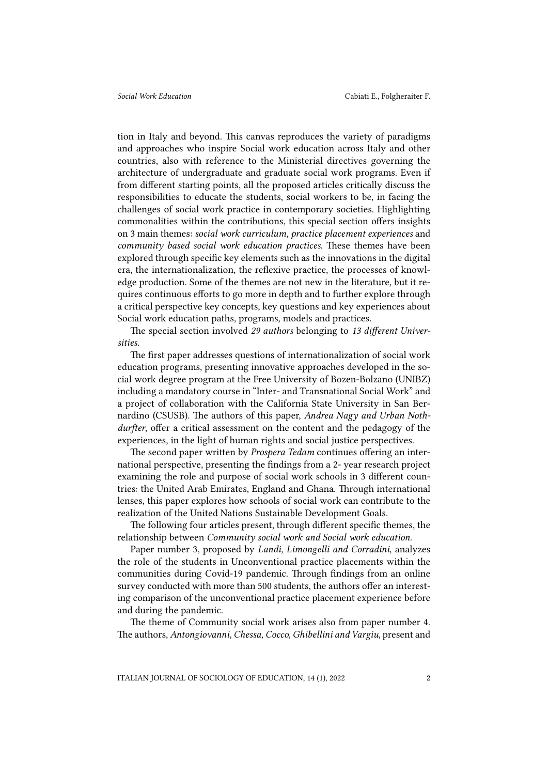tion in Italy and beyond. This canvas reproduces the variety of paradigms and approaches who inspire Social work education across Italy and other countries, also with reference to the Ministerial directives governing the architecture of undergraduate and graduate social work programs. Even if from different starting points, all the proposed articles critically discuss the responsibilities to educate the students, social workers to be, in facing the challenges of social work practice in contemporary societies. Highlighting commonalities within the contributions, this special section offers insights on 3 main themes: *social work curriculum*, *practice placement experiences* and *community based social work education practices*. These themes have been explored through specific key elements such as the innovations in the digital era, the internationalization, the reflexive practice, the processes of knowledge production. Some of the themes are not new in the literature, but it requires continuous efforts to go more in depth and to further explore through a critical perspective key concepts, key questions and key experiences about Social work education paths, programs, models and practices.

The special section involved *29 authors* belonging to *13 different Universities*.

The first paper addresses questions of internationalization of social work education programs, presenting innovative approaches developed in the social work degree program at the Free University of Bozen-Bolzano (UNIBZ) including a mandatory course in "Inter- and Transnational Social Work" and a project of collaboration with the California State University in San Bernardino (CSUSB). The authors of this paper, *Andrea Nagy and Urban Nothdurfter*, offer a critical assessment on the content and the pedagogy of the experiences, in the light of human rights and social justice perspectives.

The second paper written by *Prospera Tedam* continues offering an international perspective, presenting the findings from a 2- year research project examining the role and purpose of social work schools in 3 different countries: the United Arab Emirates, England and Ghana. Through international lenses, this paper explores how schools of social work can contribute to the realization of the United Nations Sustainable Development Goals.

The following four articles present, through different specific themes, the relationship between *Community social work and Social work education*.

Paper number 3, proposed by *Landi, Limongelli and Corradini*, analyzes the role of the students in Unconventional practice placements within the communities during Covid-19 pandemic. Through findings from an online survey conducted with more than 500 students, the authors offer an interesting comparison of the unconventional practice placement experience before and during the pandemic.

The theme of Community social work arises also from paper number 4. The authors, *Antongiovanni, Chessa, Cocco, Ghibellini and Vargiu*, present and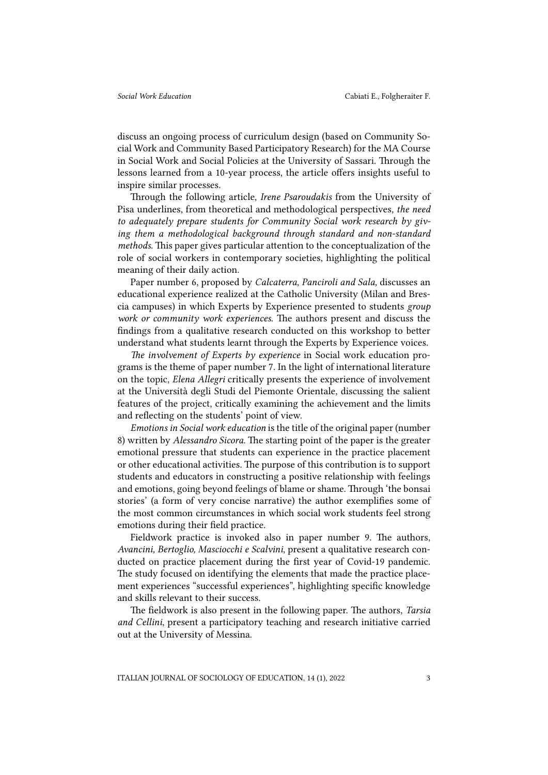discuss an ongoing process of curriculum design (based on Community Social Work and Community Based Participatory Research) for the MA Course in Social Work and Social Policies at the University of Sassari. Through the lessons learned from a 10-year process, the article offers insights useful to inspire similar processes.

Through the following article, *Irene Psaroudakis* from the University of Pisa underlines, from theoretical and methodological perspectives, *the need to adequately prepare students for Community Social work research by giving them a methodological background through standard and non-standard methods*. This paper gives particular attention to the conceptualization of the role of social workers in contemporary societies, highlighting the political meaning of their daily action.

Paper number 6, proposed by *Calcaterra, Panciroli and Sala,* discusses an educational experience realized at the Catholic University (Milan and Brescia campuses) in which Experts by Experience presented to students *group work or community work experiences*. The authors present and discuss the findings from a qualitative research conducted on this workshop to better understand what students learnt through the Experts by Experience voices.

*The involvement of Experts by experience* in Social work education programs is the theme of paper number 7. In the light of international literature on the topic, *Elena Allegri* critically presents the experience of involvement at the Università degli Studi del Piemonte Orientale, discussing the salient features of the project, critically examining the achievement and the limits and reflecting on the students' point of view.

*Emotions in Social work education* is the title of the original paper (number 8) written by *Alessandro Sicora*. The starting point of the paper is the greater emotional pressure that students can experience in the practice placement or other educational activities. The purpose of this contribution is to support students and educators in constructing a positive relationship with feelings and emotions, going beyond feelings of blame or shame. Through 'the bonsai stories' (a form of very concise narrative) the author exemplifies some of the most common circumstances in which social work students feel strong emotions during their field practice.

Fieldwork practice is invoked also in paper number 9. The authors, *Avancini, Bertoglio, Masciocchi e Scalvini*, present a qualitative research conducted on practice placement during the first year of Covid-19 pandemic. The study focused on identifying the elements that made the practice placement experiences "successful experiences", highlighting specific knowledge and skills relevant to their success.

The fieldwork is also present in the following paper. The authors, *Tarsia and Cellini*, present a participatory teaching and research initiative carried out at the University of Messina.